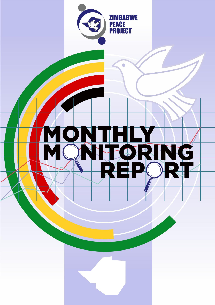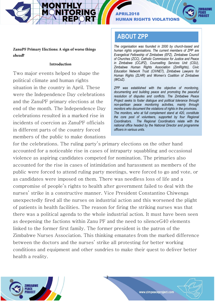APRIL2018 **N RIGHTS VIOLATIONS** 



ZanuPF Primary Elections: A sign of worse things ahead?

## Introduction

Two major events helped to shape the political climate and human rights situation in the country in April. These were the Independence Day celebrations and the ZanuPF primary elections at the end of the month. The Independence Day celebrations resulted in a marked rise in incidents of coercion as ZanuPF officials in different parts of the country forced members of the public to make donations

# **ABOUT ZPP**

*The organisation was founded in 2000 by church-based and human rights organisations. The current members of ZPP are Evangelical Fellowship of Zimbabwe (EFZ), Zimbabwe Council of Churches (ZCC), Catholic Commission for Justice and Peace in Zimbabwe (CCJPZ), Counselling Services Unit (CSU), Zimbabwe Human Rights Association (ZimRights), Civic Education Network Trust (CIVNET), Zimbabwe Lawyers for Human Rights (ZLHR) and Women's Coalition of Zimbabwe (WCoZ).* 

*ZPP was established with the objective of monitoring, documenting and building peace and promoting the peaceful resolution of disputes and conflicts. The Zimbabwe Peace Project seeks to foster dialogue and political tolerance through non-partisan peace monitoring activities, mainly through monitors who document the violations of rights in the provinces. The monitors, who at full complement stand at 420, constitute the core pool of volunteers, supported by four Regional Coordinators. The Regional Coordinators relate with the national office headed by the National Director and programme officers in various units.* 

for the celebrations. The ruling party's primary elections on the other hand accounted for a noticeable rise in cases of intraparty squabbling and occasional violence as aspiring candidates competed for nomination. The primaries also accounted for the rise in cases of intimidation and harassment as members of the public were forced to attend ruling party meetings, were forced to go and vote, or as candidates were imposed on them. There was needless loss of life and a compromise of people's rights to health after government failed to deal with the nurses' strike in a constructive manner. Vice President Constantino Chiwenga unexpectedly fired all the nurses on industrial action and this worsened the plight of patients in health facilities. The reason for firing the striking nurses was that there was a political agenda to the whole industrial action. It must have been seen as deepening the factions within Zanu PF and the need to silenceG40 elements linked to the former first family. The former president is the patron of the Zimbabwe Nurses Association. This thinking emanates from the marked difference between the doctors and the nurses' strike all protesting for better working conditions and equipment and other sundries to make their quest to deliver better health a reality.



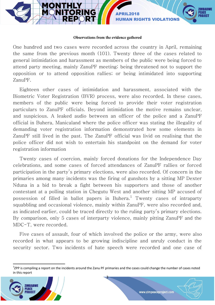

### Observations from the evidence gathered

One hundred and two cases were recorded across the country in April, remaining the same from the previous month (101). Twenty three of the cases related to general intimidation and harassment as members of the public were being forced to attend party meeting, mainly ZanuPF meeting; being threatened not to support the opposition or to attend opposition rallies; or being intimidated into supporting ZanuPF.

Eighteen other cases of intimidation and harassment, associated with the Biometric Voter Registration (BVR) process, were also recorded. In these cases, members of the public were being forced to provide their voter registration particulars to ZanuPF officials. Beyond intimidation the motive remains unclear, and suspicious. A leaked audio between an officer of the police and a ZanuPF official in Buhera, Manicaland where the police officer was stating the illegality of demanding voter registration information demonstrated how some elements in ZanuPF still lived in the past. The ZanuPF official was livid on realising that the police officer did not wish to entertain his standpoint on the demand for voter registration information

Twenty cases of coercion, mainly forced donations for the Independence Day celebrations, and some cases of forced attendances of ZanuPF rallies or forced participation in the party's primary elections, were also recorded. Of concern in the primaries among many incidents was the firing of gunshots by a sitting MP Dexter Nduna in a bid to break a fight between his supporters and those of another contestant at a polling station in Chegutu West and another sitting MP accused of possession of filled in ballot papers in Buhera. $^{\rm l}$  Twenty cases of intraparty squabbling and occasional violence, mainly within ZanuPF, were also recorded and, as indicated earlier, could be traced directly to the ruling party's primary elections. By comparison, only 5 cases of interparty violence, mainly pitting ZanuPF and the MDC-T, were recorded.

Five cases of assault, four of which involved the police or the army, were also recorded in what appears to be growing indiscipline and unruly conduct in the security sector. Two incidents of hate speech were recorded and one case of

3



 $\overline{a}$ 



<sup>&</sup>lt;sup>1</sup>ZPP is compiling a report on the incidents around the Zanu PF primaries and the cases could change the number of cases noted in this report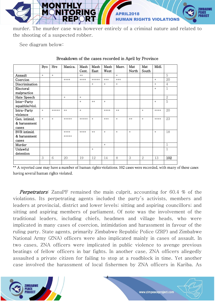

murder. The murder case was however entirely of a criminal nature and related to the shooting of a suspected robber.

See diagram below:

|                               | <b>Byo</b> | Hre    | Manica. | Mash   | Mash   | Mash   | Masv.  | Mat    | Mat    | Midl.  |                |
|-------------------------------|------------|--------|---------|--------|--------|--------|--------|--------|--------|--------|----------------|
|                               |            |        |         | Cent.  | East   | West   |        | North  | South  |        |                |
| Assault                       | $\ast$     | $\ast$ |         | $***$  |        |        | $\ast$ |        |        |        | 5              |
| Coercion                      |            |        | ****    | ****   | *****  | ***    | $***$  |        |        | $\ast$ | 20             |
| Discrimination                |            |        |         |        | $\ast$ | $\ast$ | $*$    |        |        | $\ast$ | $\overline{4}$ |
| Electoral<br>malpractice      |            |        |         |        |        |        |        |        |        | $\ast$ | $\mathbf{1}$   |
| Hate Speech                   |            |        | $\ast$  | $\ast$ |        |        |        |        |        |        | $\overline{2}$ |
| Inter-Party<br>squabble/viol. |            |        |         | $\ast$ | $***$  | $\ast$ |        |        |        | $\ast$ | 5              |
| Intra-Party<br>violence       | $\ast$     | *****  | $***$   | $\ast$ |        | ****   | $***$  |        | $\ast$ | ****   | 20             |
| Gen. intimid.                 | $\ast$     | $\ast$ | *****   | *****  | $\ast$ | ***    | $\ast$ | $**$   | $\ast$ | ****   | 23             |
| & harassment                  |            |        |         |        |        |        |        |        |        |        |                |
| cases                         |            |        |         |        |        |        |        |        |        |        |                |
| BVR intimid.                  |            |        | ****    | ****   | $***$  | $\ast$ | $\ast$ | $\ast$ |        | $\ast$ | 18             |
| & harassment                  |            |        | *****   |        |        |        |        |        |        |        |                |
| cases                         |            |        |         |        |        |        |        |        |        |        |                |
| Murder                        |            |        |         |        |        | $\ast$ |        |        |        |        | $\mathbf{1}$   |
| Unlawful                      |            |        |         |        | $\ast$ |        |        |        |        |        | $\mathbf{1}$   |
| detention                     |            |        |         |        |        |        |        |        |        |        |                |
|                               | 3          | 6      | 20      | 19     | 12     | 14     | 8      | 3      | 2      | 13     | 102            |
|                               |            |        |         |        |        |        |        |        |        |        |                |

## Breakdown of the cases recorded in April by Province

\*\* A reported case may have a number of human rights violations. 102 cases were recorded, with many of these cases having several human rights violated.

**Perpetrators:** ZanuPF remained the main culprit, accounting for 60.4 % of the violations. Its perpetrating agents included the party's activists, members and leaders at provincial, district and lower levels; sitting and aspiring councillors; and sitting and aspiring members of parliament. Of note was the involvement of the traditional leaders, including chiefs, headmen and village heads, who were implicated in many cases of coercion, intimidation and harassment in favour of the ruling party. State agents, primarily Zimbabwe Republic Police (ZRP) and Zimbabwe National Army (ZNA) officers were also implicated mainly in cases of assault. In two cases, ZNA officers were implicated in public violence to avenge previous beatings of fellow officers in bar fights. In another case, ZNA officers allegedly assaulted a private citizen for failing to stop at a roadblock in time. Yet another case involved the harassment of local fishermen by ZNA officers in Kariba. As

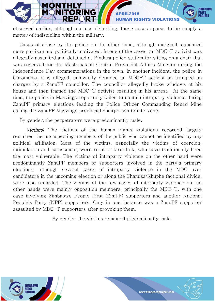

observed earlier, although no less disturbing, these cases appear to be simply a matter of indiscipline within the military.

Cases of abuse by the police on the other hand, although marginal, appeared more partisan and politically motivated. In one of the cases, an MDC-T activist was allegedly assaulted and detained at Bindura police station for sitting on a chair that was reserved for the Mashonaland Central Provincial Affairs Minister during the Independence Day commemorations in the town. In another incident, the police in Goromonzi, it is alleged, unlawfully detained an MDC-T activist on trumped up charges by a ZanuPF councillor. The councillor allegedly broke windows at his house and then framed the MDC-T activist resulting in his arrest. At the same time, the police in Masvingo reportedly failed to contain intraparty violence during ZanuPF primary elections leading the Police Officer Commanding Renco Mine calling the ZanuPF Masvingo provincial chairperson to intervene.

By gender, the perpetrators were predominantly male.

Victims: The victims of the human rights violations recorded largely remained the unsuspecting members of the public who cannot be identified by any political affiliation. Most of the victims, especially the victims of coercion, intimidation and harassment, were rural or farm folk, who have traditionally been the most vulnerable. The victims of intraparty violence on the other hand were predominantly ZanuPF members or supporters involved in the party's primary elections, although several cases of intraparty violence in the MDC over candidature in the upcoming election or along the Chamisa/Khuphe factional divide, were also recorded. The victims of the few cases of interparty violence on the other hands were mainly opposition members, principally the MDC-T, with one case involving Zimbabwe People First (ZimPF) supporters and another National People's Party (NPP) supporters. Only in one instance was a ZanuPF supporter assaulted by MDC-T supporters after provoking them.

By gender, the victims remained predominantly male



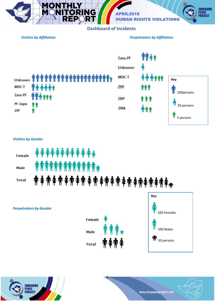

# **Dashboard of Incidents**



### *Victims by Gender*



6





*Perpetrators by Gender* 

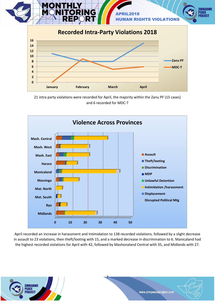



21 intra party violations were recorded for April, the majority within the Zanu PF (15 cases) and 6 recorded for MDC-T



April recorded an increase in harassment and Intimidation to 138 recorded violations, followed by a slight decrease in assault to 23 violations, then theft/looting with 15, and a marked decrease in discrimination to 6. Manicaland had the highest recorded violations for April with 42, followed by Mashonaland Central with 35, and Midlands with 27.



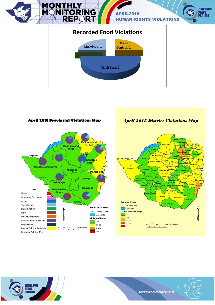



**April 2018 Provincial Violations Map** 

**April 2018 District Violations Map** 





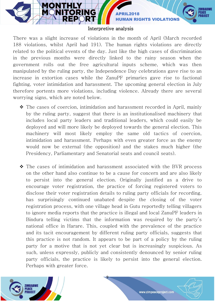**HUMAN RIGHTS** 

## Interpretive analysis

VG.

**APRIL** 

There was a slight increase of violations in the month of April (March recorded 188 violations, whilst April had 191). The human rights violations are directly related to the political events of the day. Just like the high cases of discrimination in the previous months were directly linked to the rainy season when the government rolls out the free agricultural inputs scheme, which was then manipulated by the ruling party, the Independence Day celebrations gave rise to an increase in extortion cases while the ZanuPF primaries gave rise to factional fighting, voter intimidation and harassment. The upcoming general election in July therefore portents more violations, including violence. Already there are several worrying signs, which are noted below.

- The cases of coercion, intimidation and harassment recorded in April, mainly by the ruling party, suggest that there is an institutionalised machinery that includes local party leaders and traditional leaders, which could easily be deployed and will more likely be deployed towards the general election. This machinery will most likely employ the same old tactics of coercion, intimidation and harassment. Perhaps with even greater force as the enemy would now be external (the opposition) and the stakes much higher (the Presidency, Parliamentary and Senatorial seats and council seats).
- The cases of intimidation and harassment associated with the BVR process on the other hand also continue to be a cause for concern and are also likely to persist into the general election. Originally justified as a drive to encourage voter registration, the practice of forcing registered voters to disclose their voter registration details to ruling party officials for recording, has surprisingly continued unabated despite the closing of the voter registration process, with one village head in Gutu reportedly telling villagers to ignore media reports that the practice is illegal and local ZanuPF leaders in Bindura telling victims that the information was required by the party's national office in Harare. This, coupled with the prevalence of the practice and its tacit encouragement by different ruling party officials, suggests that this practice is not random. It appears to be part of a policy by the ruling party for a motive that is not yet clear but is increasingly suspicious. As such, unless expressly, publicly and consistently denounced by senior ruling party officials, the practice is likely to persist into the general election. Perhaps with greater force.

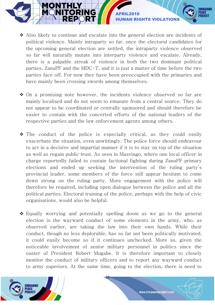Also likely to continue and escalate into the general election are incidents of political violence. Mainly intraparty so far, once the electoral candidates for the upcoming general election are settled, the intraparty violence observed so far will naturally mutate into interparty violence and escalate. Already, there is a palpable streak of violence in both the two dominant political parties, ZanuPF and the MDC-T, and it is just a matter of time before the two parties face off. For now they have been preoccupied with the primaries and have mainly been crossing swords among themselves.

NG

APRIL2018

HUMAN RIGHTS VIOLATIONS

- $\div$  On a promising note however, the incidents violence observed so far are mainly localised and do not seem to emanate from a central source. They do not appear to be coordinated or centrally sponsored and should therefore be easier to contain with the concerted efforts of the national leaders of the respective parties and the law enforcement agents among others.
- $\hat{P}$  The conduct of the police is especially critical, as they could easily exacerbate the situation, even unwittingly. The police force should endeavour to act in a decisive and impartial manner if it is to stay on top of the situation as well as regain public trust. As seen in Masvingo, where one local officer in charge reportedly failed to contain factional fighting during ZanuPF primary elections and ended up seeking the intervention of the ruling party's provincial leader, some members of the force still appear hesitant to come down strong on the ruling party. More engagement with the police will therefore be required, including open dialogue between the police and all the political parties. Electoral training of the police, perhaps with the help of civic organisations, would also be helpful.
- Equally worrying and potentially spelling doom as we go to the general election is the wayward conduct of some elements in the army, who, as observed earlier, are taking the law into their own hands. While their conduct, though no less deplorable, has so far not been politically motivated, it could easily become so if it continues unchecked. More so, given the noticeable involvement of senior military personnel in politics since the ouster of President Robert Mugabe. It is therefore important to closely monitor the conduct of military officers and to report any wayward conduct to army superiors. At the same time, going to the election, there is need to